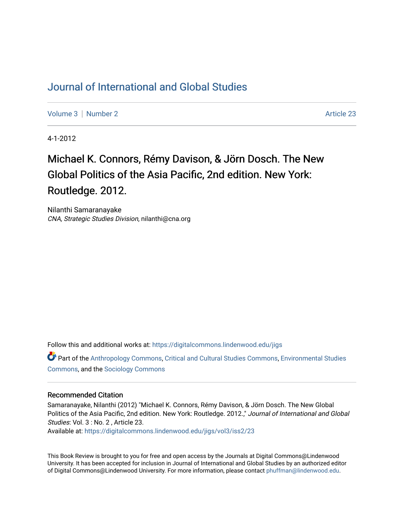## [Journal of International and Global Studies](https://digitalcommons.lindenwood.edu/jigs)

[Volume 3](https://digitalcommons.lindenwood.edu/jigs/vol3) [Number 2](https://digitalcommons.lindenwood.edu/jigs/vol3/iss2) Article 23

4-1-2012

## Michael K. Connors, Rémy Davison, & Jörn Dosch. The New Global Politics of the Asia Pacific, 2nd edition. New York: Routledge. 2012.

Nilanthi Samaranayake CNA, Strategic Studies Division, nilanthi@cna.org

Follow this and additional works at: [https://digitalcommons.lindenwood.edu/jigs](https://digitalcommons.lindenwood.edu/jigs?utm_source=digitalcommons.lindenwood.edu%2Fjigs%2Fvol3%2Fiss2%2F23&utm_medium=PDF&utm_campaign=PDFCoverPages) 

Part of the [Anthropology Commons](http://network.bepress.com/hgg/discipline/318?utm_source=digitalcommons.lindenwood.edu%2Fjigs%2Fvol3%2Fiss2%2F23&utm_medium=PDF&utm_campaign=PDFCoverPages), [Critical and Cultural Studies Commons](http://network.bepress.com/hgg/discipline/328?utm_source=digitalcommons.lindenwood.edu%2Fjigs%2Fvol3%2Fiss2%2F23&utm_medium=PDF&utm_campaign=PDFCoverPages), [Environmental Studies](http://network.bepress.com/hgg/discipline/1333?utm_source=digitalcommons.lindenwood.edu%2Fjigs%2Fvol3%2Fiss2%2F23&utm_medium=PDF&utm_campaign=PDFCoverPages)  [Commons](http://network.bepress.com/hgg/discipline/1333?utm_source=digitalcommons.lindenwood.edu%2Fjigs%2Fvol3%2Fiss2%2F23&utm_medium=PDF&utm_campaign=PDFCoverPages), and the [Sociology Commons](http://network.bepress.com/hgg/discipline/416?utm_source=digitalcommons.lindenwood.edu%2Fjigs%2Fvol3%2Fiss2%2F23&utm_medium=PDF&utm_campaign=PDFCoverPages)

## Recommended Citation

Samaranayake, Nilanthi (2012) "Michael K. Connors, Rémy Davison, & Jörn Dosch. The New Global Politics of the Asia Pacific, 2nd edition. New York: Routledge. 2012.," Journal of International and Global Studies: Vol. 3 : No. 2 , Article 23.

Available at: [https://digitalcommons.lindenwood.edu/jigs/vol3/iss2/23](https://digitalcommons.lindenwood.edu/jigs/vol3/iss2/23?utm_source=digitalcommons.lindenwood.edu%2Fjigs%2Fvol3%2Fiss2%2F23&utm_medium=PDF&utm_campaign=PDFCoverPages) 

This Book Review is brought to you for free and open access by the Journals at Digital Commons@Lindenwood University. It has been accepted for inclusion in Journal of International and Global Studies by an authorized editor of Digital Commons@Lindenwood University. For more information, please contact [phuffman@lindenwood.edu](mailto:phuffman@lindenwood.edu).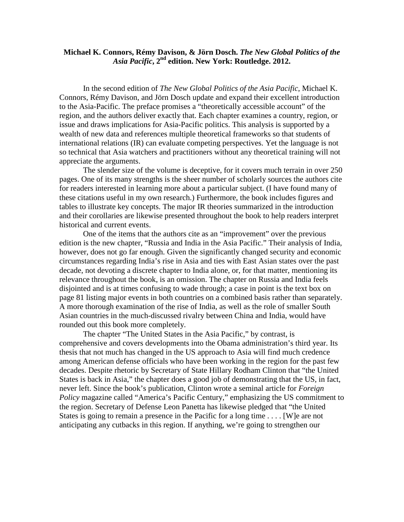## **Michael K. Connors, Rémy Davison, & Jörn Dosch.** *The New Global Politics of the Asia Pacific***, 2nd edition. New York: Routledge. 2012.**

In the second edition of *The New Global Politics of the Asia Pacific*, Michael K. Connors, Rémy Davison, and Jörn Dosch update and expand their excellent introduction to the Asia-Pacific. The preface promises a "theoretically accessible account" of the region, and the authors deliver exactly that. Each chapter examines a country, region, or issue and draws implications for Asia-Pacific politics. This analysis is supported by a wealth of new data and references multiple theoretical frameworks so that students of international relations (IR) can evaluate competing perspectives. Yet the language is not so technical that Asia watchers and practitioners without any theoretical training will not appreciate the arguments.

The slender size of the volume is deceptive, for it covers much terrain in over 250 pages. One of its many strengths is the sheer number of scholarly sources the authors cite for readers interested in learning more about a particular subject. (I have found many of these citations useful in my own research.) Furthermore, the book includes figures and tables to illustrate key concepts. The major IR theories summarized in the introduction and their corollaries are likewise presented throughout the book to help readers interpret historical and current events.

One of the items that the authors cite as an "improvement" over the previous edition is the new chapter, "Russia and India in the Asia Pacific." Their analysis of India, however, does not go far enough. Given the significantly changed security and economic circumstances regarding India's rise in Asia and ties with East Asian states over the past decade, not devoting a discrete chapter to India alone, or, for that matter, mentioning its relevance throughout the book, is an omission. The chapter on Russia and India feels disjointed and is at times confusing to wade through; a case in point is the text box on page 81 listing major events in both countries on a combined basis rather than separately. A more thorough examination of the rise of India, as well as the role of smaller South Asian countries in the much-discussed rivalry between China and India, would have rounded out this book more completely.

The chapter "The United States in the Asia Pacific," by contrast, is comprehensive and covers developments into the Obama administration's third year. Its thesis that not much has changed in the US approach to Asia will find much credence among American defense officials who have been working in the region for the past few decades. Despite rhetoric by Secretary of State Hillary Rodham Clinton that "the United States is back in Asia," the chapter does a good job of demonstrating that the US, in fact, never left. Since the book's publication, Clinton wrote a seminal article for *Foreign Policy* magazine called "America's Pacific Century," emphasizing the US commitment to the region. Secretary of Defense Leon Panetta has likewise pledged that "the United States is going to remain a presence in the Pacific for a long time .... [W] e are not anticipating any cutbacks in this region. If anything, we're going to strengthen our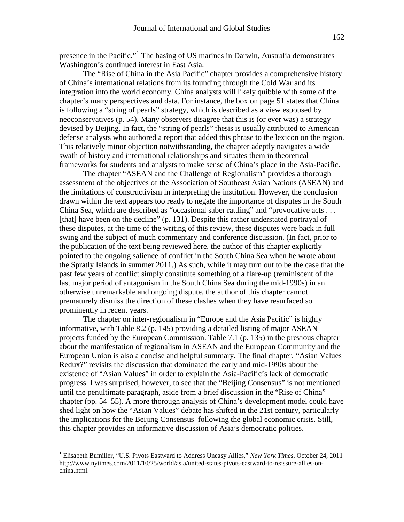presence in the Pacific."[1](#page-2-0) The basing of US marines in Darwin, Australia demonstrates Washington's continued interest in East Asia.

The "Rise of China in the Asia Pacific" chapter provides a comprehensive history of China's international relations from its founding through the Cold War and its integration into the world economy. China analysts will likely quibble with some of the chapter's many perspectives and data. For instance, the box on page 51 states that China is following a "string of pearls" strategy, which is described as a view espoused by neoconservatives (p. 54). Many observers disagree that this is (or ever was) a strategy devised by Beijing. In fact, the "string of pearls" thesis is usually attributed to American defense analysts who authored a report that added this phrase to the lexicon on the region. This relatively minor objection notwithstanding, the chapter adeptly navigates a wide swath of history and international relationships and situates them in theoretical frameworks for students and analysts to make sense of China's place in the Asia-Pacific.

The chapter "ASEAN and the Challenge of Regionalism" provides a thorough assessment of the objectives of the Association of Southeast Asian Nations (ASEAN) and the limitations of constructivism in interpreting the institution. However, the conclusion drawn within the text appears too ready to negate the importance of disputes in the South China Sea, which are described as "occasional saber rattling" and "provocative acts . . . [that] have been on the decline" (p. 131). Despite this rather understated portrayal of these disputes, at the time of the writing of this review, these disputes were back in full swing and the subject of much commentary and conference discussion. (In fact, prior to the publication of the text being reviewed here, the author of this chapter explicitly pointed to the ongoing salience of conflict in the South China Sea when he wrote about the Spratly Islands in summer 2011.) As such, while it may turn out to be the case that the past few years of conflict simply constitute something of a flare-up (reminiscent of the last major period of antagonism in the South China Sea during the mid-1990s) in an otherwise unremarkable and ongoing dispute, the author of this chapter cannot prematurely dismiss the direction of these clashes when they have resurfaced so prominently in recent years.

The chapter on inter-regionalism in "Europe and the Asia Pacific" is highly informative, with Table 8.2 (p. 145) providing a detailed listing of major ASEAN projects funded by the European Commission. Table 7.1 (p. 135) in the previous chapter about the manifestation of regionalism in ASEAN and the European Community and the European Union is also a concise and helpful summary. The final chapter, "Asian Values Redux?" revisits the discussion that dominated the early and mid-1990s about the existence of "Asian Values" in order to explain the Asia-Pacific's lack of democratic progress. I was surprised, however, to see that the "Beijing Consensus" is not mentioned until the penultimate paragraph, aside from a brief discussion in the "Rise of China" chapter (pp. 54–55). A more thorough analysis of China's development model could have shed light on how the "Asian Values" debate has shifted in the 21st century, particularly the implications for the Beijing Consensus following the global economic crisis. Still, this chapter provides an informative discussion of Asia's democratic polities.

 $\overline{a}$ 

<span id="page-2-0"></span><sup>1</sup> Elisabeth Bumiller, "U.S. Pivots Eastward to Address Uneasy Allies," *New York Times*, October 24, 2011 http://www.nytimes.com/2011/10/25/world/asia/united-states-pivots-eastward-to-reassure-allies-onchina.html.